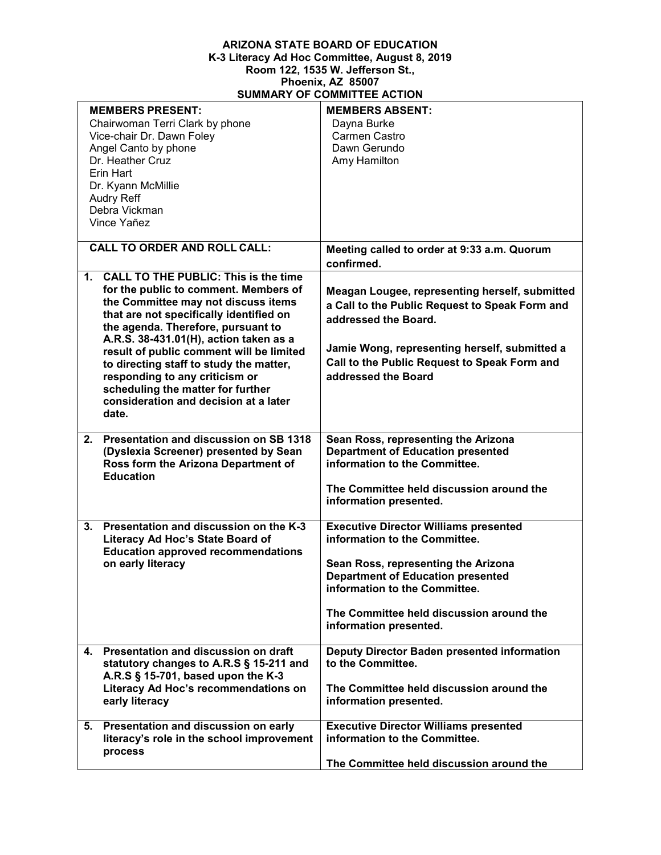## **ARIZONA STATE BOARD OF EDUCATION K-3 Literacy Ad Hoc Committee, August 8, 2019 Room 122, 1535 W. Jefferson St., Phoenix, AZ 85007 SUMMARY OF COMMITTEE ACTION**

| <b>MEMBERS PRESENT:</b><br>Chairwoman Terri Clark by phone<br>Vice-chair Dr. Dawn Foley<br>Angel Canto by phone<br>Dr. Heather Cruz<br>Erin Hart<br>Dr. Kyann McMillie<br><b>Audry Reff</b><br>Debra Vickman<br>Vince Yañez                                                                                                                                                                                                                                                             | <b>MEMBERS ABSENT:</b><br>Dayna Burke<br>Carmen Castro<br>Dawn Gerundo<br>Amy Hamilton                                                                                                                                                                                  |
|-----------------------------------------------------------------------------------------------------------------------------------------------------------------------------------------------------------------------------------------------------------------------------------------------------------------------------------------------------------------------------------------------------------------------------------------------------------------------------------------|-------------------------------------------------------------------------------------------------------------------------------------------------------------------------------------------------------------------------------------------------------------------------|
| <b>CALL TO ORDER AND ROLL CALL:</b>                                                                                                                                                                                                                                                                                                                                                                                                                                                     | Meeting called to order at 9:33 a.m. Quorum<br>confirmed.                                                                                                                                                                                                               |
| <b>CALL TO THE PUBLIC: This is the time</b><br>$\mathbf 1$ .<br>for the public to comment. Members of<br>the Committee may not discuss items<br>that are not specifically identified on<br>the agenda. Therefore, pursuant to<br>A.R.S. 38-431.01(H), action taken as a<br>result of public comment will be limited<br>to directing staff to study the matter,<br>responding to any criticism or<br>scheduling the matter for further<br>consideration and decision at a later<br>date. | Meagan Lougee, representing herself, submitted<br>a Call to the Public Request to Speak Form and<br>addressed the Board.<br>Jamie Wong, representing herself, submitted a<br>Call to the Public Request to Speak Form and<br>addressed the Board                        |
| Presentation and discussion on SB 1318<br>2.<br>(Dyslexia Screener) presented by Sean<br>Ross form the Arizona Department of<br><b>Education</b>                                                                                                                                                                                                                                                                                                                                        | Sean Ross, representing the Arizona<br><b>Department of Education presented</b><br>information to the Committee.<br>The Committee held discussion around the<br>information presented.                                                                                  |
| Presentation and discussion on the K-3<br>3.<br>Literacy Ad Hoc's State Board of<br><b>Education approved recommendations</b><br>on early literacy                                                                                                                                                                                                                                                                                                                                      | <b>Executive Director Williams presented</b><br>information to the Committee.<br>Sean Ross, representing the Arizona<br><b>Department of Education presented</b><br>information to the Committee.<br>The Committee held discussion around the<br>information presented. |
| Presentation and discussion on draft<br>4.<br>statutory changes to A.R.S § 15-211 and<br>A.R.S § 15-701, based upon the K-3<br>Literacy Ad Hoc's recommendations on<br>early literacy                                                                                                                                                                                                                                                                                                   | Deputy Director Baden presented information<br>to the Committee.<br>The Committee held discussion around the<br>information presented.                                                                                                                                  |
| Presentation and discussion on early<br>5.<br>literacy's role in the school improvement<br>process                                                                                                                                                                                                                                                                                                                                                                                      | <b>Executive Director Williams presented</b><br>information to the Committee.<br>The Committee held discussion around the                                                                                                                                               |